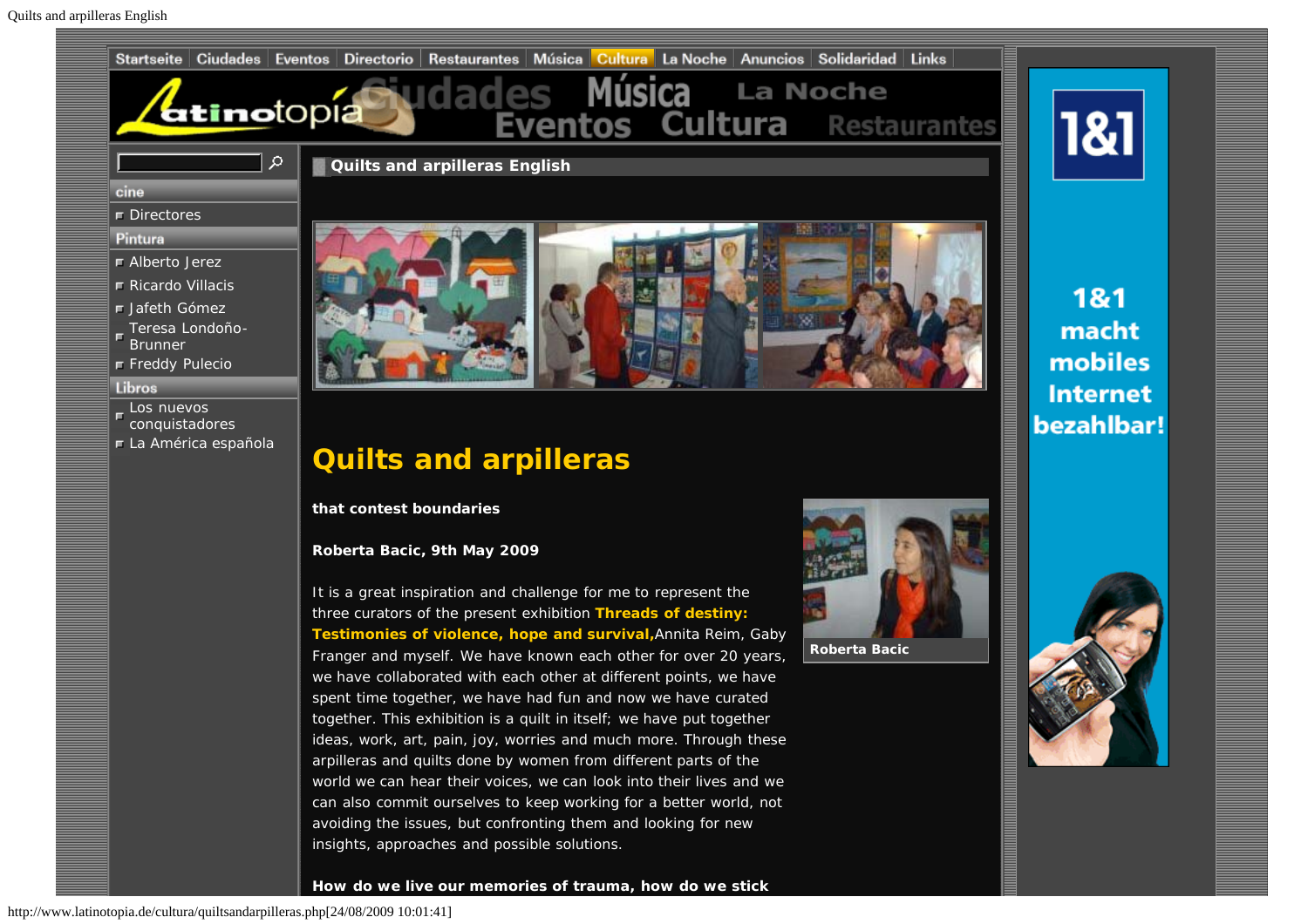

http://www.latinotopia.de/cultura/quiltsandarpilleras.php[24/08/2009 10:01:41]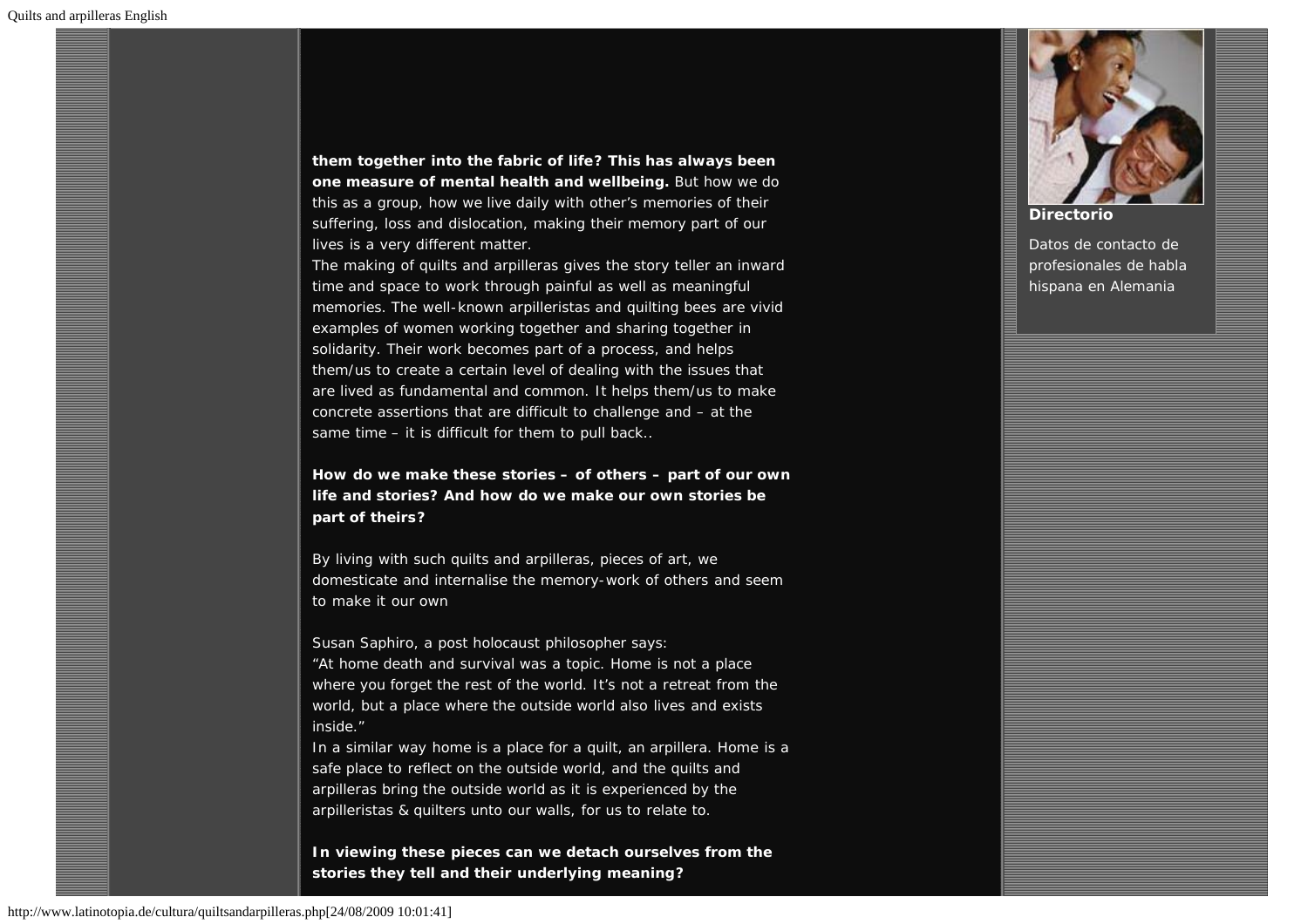**them together into the fabric of life? This has always been one measure of mental health and wellbeing.** But how we do this as a group, how we live daily with other's memories of their suffering, loss and dislocation, making their memory part of our lives is a very different matter.

The making of quilts and arpilleras gives the story teller an inward time and space to work through painful as well as meaningful memories. The well-known arpilleristas and quilting bees are vivid examples of women working together and sharing together in solidarity. Their work becomes part of a process, and helps them/us to create a certain level of dealing with the issues that are lived as fundamental and common. It helps them/us to make concrete assertions that are difficult to challenge and – at the same time – it is difficult for them to pull back..

**How do we make these stories – of others – part of our own life and stories? And how do we make our own stories be part of theirs?**

By living with such quilts and arpilleras, pieces of art, we domesticate and internalise the memory-work of others and seem to make it our own

Susan Saphiro, a post holocaust philosopher says:

"At home death and survival was a topic. Home is not a place where you forget the rest of the world. It's not a retreat from the world, but a place where the outside world also lives and exists inside."

In a similar way home is a place for a quilt, an arpillera. Home is a safe place to reflect on the outside world, and the quilts and arpilleras bring the outside world as it is experienced by the arpilleristas & quilters unto our walls, for us to relate to.

**In viewing these pieces can we detach ourselves from the stories they tell and their underlying meaning?**





#### **[Directorio](http://www.latinotopia.de/directorios/index.php)**

Datos de contacto de profesionales de habla hispana en Alemania